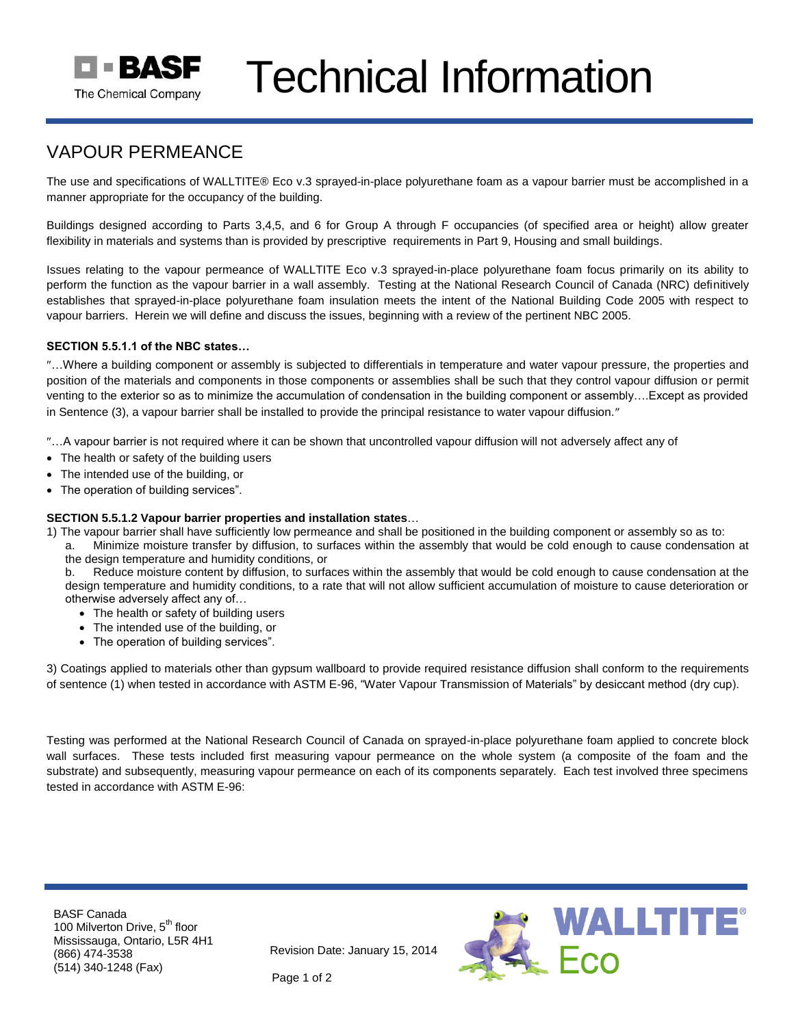

# Technical Information

## VAPOUR PERMEANCE

The use and specifications of WALLTITE® Eco v.3 sprayed-in-place polyurethane foam as a vapour barrier must be accomplished in a manner appropriate for the occupancy of the building.

Buildings designed according to Parts 3,4,5, and 6 for Group A through F occupancies (of specified area or height) allow greater flexibility in materials and systems than is provided by prescriptive requirements in Part 9, Housing and small buildings.

Issues relating to the vapour permeance of WALLTITE Eco v.3 sprayed-in-place polyurethane foam focus primarily on its ability to perform the function as the vapour barrier in a wall assembly. Testing at the National Research Council of Canada (NRC) definitively establishes that sprayed-in-place polyurethane foam insulation meets the intent of the National Building Code 2005 with respect to vapour barriers. Herein we will define and discuss the issues, beginning with a review of the pertinent NBC 2005.

### **SECTION 5.5.1.1 of the NBC states…**

…Where a building component or assembly is subjected to differentials in temperature and water vapour pressure, the properties and position of the materials and components in those components or assemblies shall be such that they control vapour diffusion or permit venting to the exterior so as to minimize the accumulation of condensation in the building component or assembly….Except as provided in Sentence (3), a vapour barrier shall be installed to provide the principal resistance to water vapour diffusion."

…A vapour barrier is not required where it can be shown that uncontrolled vapour diffusion will not adversely affect any of

- The health or safety of the building users
- The intended use of the building, or
- The operation of building services".

#### **SECTION 5.5.1.2 Vapour barrier properties and installation states**…

- 1) The vapour barrier shall have sufficiently low permeance and shall be positioned in the building component or assembly so as to:
	- a. Minimize moisture transfer by diffusion, to surfaces within the assembly that would be cold enough to cause condensation at the design temperature and humidity conditions, or

b. Reduce moisture content by diffusion, to surfaces within the assembly that would be cold enough to cause condensation at the design temperature and humidity conditions, to a rate that will not allow sufficient accumulation of moisture to cause deterioration or otherwise adversely affect any of…

- The health or safety of building users
- The intended use of the building, or
- The operation of building services".

3) Coatings applied to materials other than gypsum wallboard to provide required resistance diffusion shall conform to the requirements of sentence (1) when tested in accordance with ASTM E-96, "Water Vapour Transmission of Materials" by desiccant method (dry cup).

Testing was performed at the National Research Council of Canada on sprayed-in-place polyurethane foam applied to concrete block wall surfaces. These tests included first measuring vapour permeance on the whole system (a composite of the foam and the substrate) and subsequently, measuring vapour permeance on each of its components separately. Each test involved three specimens tested in accordance with ASTM E-96:

BASF Canada 100 Milverton Drive, 5<sup>th</sup> floor Mississauga, Ontario, L5R 4H1 (866) 474-3538 (514) 340-1248 (Fax)

Revision Date: January 15, 2014



Page 1 of 2